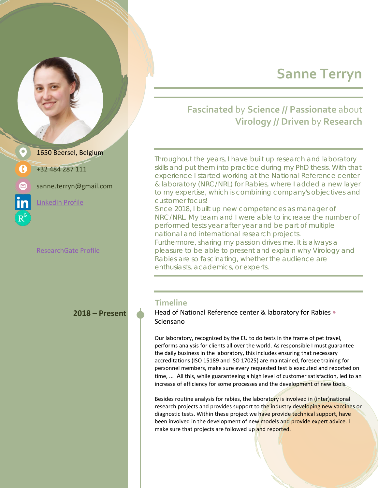# **Sanne Terryn**

### **Fascinated** by **Science // Passionate** about **Virology // Driven** by **Research**

Throughout the years, I have built up research and laboratory skills and put them into practice during my PhD thesis. With that experience I started working at the National Reference center & laboratory (NRC/NRL) for Rabies, where I added a new layer to my expertise, which is combining company's objectives and customer focus!

Since 2018, I built up new competences as manager of NRC/NRL. My team and I were able to increase the number of performed tests year after year and be part of multiple national and international research projects.

Furthermore, sharing my passion drives me. It is always a pleasure to be able to present and explain why Virology and Rabies are so fascinating, whether the audience are enthusiasts, academics, or experts.

#### **Timeline**

**2018 – Present Head of National Reference center & laboratory for Rabies •** Sciensano

> Our laboratory, recognized by the EU to do tests in the frame of pet travel, performs analysis for clients all over the world. As responsible I must guarantee the daily business in the laboratory, this includes ensuring that necessary accreditations (ISO 15189 and ISO 17025) are maintained, foresee training for personnel members, make sure every requested test is executed and reported on time, ... All this, while guaranteeing a high level of customer satisfaction, led to an increase of efficiency for some processes and the development of new tools.

> Besides routine analysis for rabies, the laboratory is involved in (inter)national research projects and provides support to the industry developing new vaccines or diagnostic tests. Within these project we have provide technical support, have been involved in the development of new models and provide expert advice. I make sure that projects are followed up and reported.

1650 Beersel, Belgium +32 484 287 111

sanne.terryn@gmail.com

[LinkedIn Profile](https://www.linkedin.com/in/sanne-terryn/)

[ResearchGate Profile](https://www.researchgate.net/profile/Sanne-Terryn)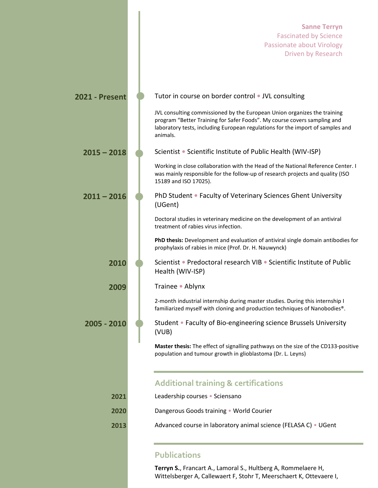## **Sanne Terryn** Fascinated by Science Passionate about Virology Driven by Research **2021 - Present Computer** Tutor in course on border control • JVL consulting JVL consulting commissioned by the European Union organizes the training program "Better Training for Safer Foods". My course covers sampling and laboratory tests, including European regulations for the import of samples and animals. **2015 – 2018** Scientist **•** Scientific Institute of Public Health (WIV-ISP) Working in close collaboration with the Head of the National Reference Center. I was mainly responsible for the follow-up of research projects and quality (ISO 15189 and ISO 17025). **2011 – 2016** PhD Student **•** Faculty of Veterinary Sciences Ghent University (UGent) Doctoral studies in veterinary medicine on the development of an antiviral treatment of rabies virus infection. **PhD thesis:** Development and evaluation of antiviral single domain antibodies for prophylaxis of rabies in mice (Prof. Dr. H. Nauwynck) **2010** Scientist **•** Predoctoral research VIB **•** Scientific Institute of Public Health (WIV-ISP) **2009** Trainee **•** Ablynx 2-month industrial internship during master studies. During this internship I familiarized myself with cloning and production techniques of Nanobodies®. **2005 - 2010** Student • Faculty of Bio-engineering science Brussels University (VUB) **Master thesis:** The effect of signalling pathways on the size of the CD133-positive population and tumour growth in glioblastoma (Dr. L. Leyns) **Additional training & certifications 2021** Leadership courses • Sciensano **2020** Dangerous Goods training • World Courier **2013** Advanced course in laboratory animal science (FELASA C) • UGent

#### **Publications**

**Terryn S.**, Francart A., Lamoral S., Hultberg A, Rommelaere H, Wittelsberger A, Callewaert F, Stohr T, Meerschaert K, Ottevaere I,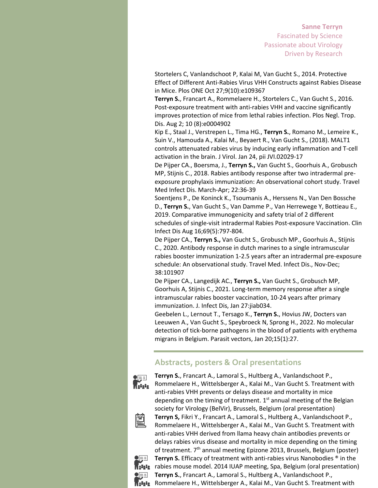#### **Sanne Terryn** Fascinated by Science Passionate about Virology Driven by Research

Stortelers C, Vanlandschoot P, Kalai M, Van Gucht S., 2014. Protective Effect of Different Anti-Rabies Virus VHH Constructs against Rabies Disease in Mice. Plos ONE Oct 27;9(10):e109367

**Terryn S.**, Francart A., Rommelaere H., Stortelers C., Van Gucht S., 2016. Post-exposure treatment with anti-rabies VHH and vaccine significantly improves protection of mice from lethal rabies infection. Plos Negl. Trop. Dis. Aug 2; 10 (8):e0004902

Kip E., Staal J., Verstrepen L., Tima HG., **Terryn S.**, Romano M., Lemeire K., Suin V., Hamouda A., Kalai M., Beyaert R., Van Gucht S., (2018). MALT1 controls attenuated rabies virus by inducing early inflammation and T-cell activation in the brain. J Virol. Jan 24, pii JVI.02029-17

De Pijper CA., Boersma, J., **Terryn S.,** Van Gucht S., Goorhuis A., Grobusch MP, Stijnis C., 2018. Rabies antibody response after two intradermal preexposure prophylaxis immunization: An observational cohort study. Travel Med Infect Dis. March-Apr; 22:36-39

Soentjens P., De Koninck K., Tsoumanis A., Herssens N., Van Den Bossche D., **Terryn S.**, Van Gucht S., Van Damme P., Van Herrewege Y, Bottieau E., 2019. Comparative immunogenicity and safety trial of 2 different schedules of single-visit intradermal Rabies Post-exposure Vaccination. Clin Infect Dis Aug 16;69(5):797-804.

De Pijper CA., **Terryn S.,** Van Gucht S., Grobusch MP., Goorhuis A., Stijnis C., 2020. Antibody response in dutch marines to a single intramuscular rabies booster immunization 1-2.5 years after an intradermal pre-exposure schedule: An observational study. Travel Med. Infect Dis., Nov-Dec; 38:101907

De Pijper CA., Langedijk AC., **Terryn S.,** Van Gucht S., Grobusch MP, Goorhuis A, Stijnis C., 2021. Long-term memory response after a single intramuscular rabies booster vaccination, 10-24 years after primary immunization. J. Infect Dis, Jan 27:jiab034.

Geebelen L., Lernout T., Tersago K., **Terryn S.**, Hovius JW, Docters van Leeuwen A., Van Gucht S., Speybroeck N, Sprong H., 2022. No molecular detection of tick-borne pathogens in the blood of patients with erythema migrans in Belgium. Parasit vectors, Jan 20;15(1):27.

#### **Abstracts, posters & Oral presentations**



**Terryn S.**, Francart A., Lamoral S., Hultberg A., Vanlandschoot P., Rommelaere H., Wittelsberger A., Kalai M., Van Gucht S. Treatment with anti-rabies VHH prevents or delays disease and mortality in mice depending on the timing of treatment. 1<sup>st</sup> annual meeting of the Belgian society for Virology (BelVir), Brussels, Belgium (oral presentation)



**Terryn S,** Fikri Y., Francart A., Lamoral S., Hultberg A., Vanlandschoot P., Rommelaere H., Wittelsberger A., Kalai M., Van Gucht S. Treatment with anti-rabies VHH derived from llama heavy chain antibodies prevents or delays rabies virus disease and mortality in mice depending on the timing of treatment. 7<sup>th</sup> annual meeting Epizone 2013, Brussels, Belgium (poster)



**Terryn S.** Efficacy of treatment with anti-rabies virus Nanobodies ® in the **R2222** rabies mouse model. 2014 IUAP meeting, Spa, Belgium (oral presentation) **Terryn S.**, Francart A., Lamoral S., Hultberg A., Vanlandschoot P.,

R<sub>2</sub>2<sub>2</sub><sup>2</sup><sub>2</sub><sup>2</sup><sub>2</sub> Rommelaere H., Wittelsberger A., Kalai M., Van Gucht S. Treatment with